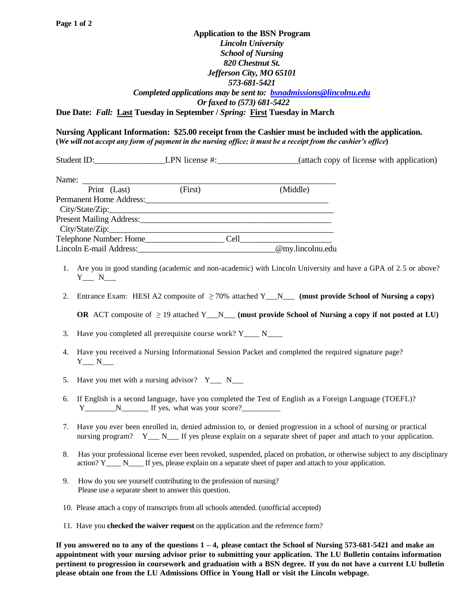## **Application to the BSN Program** *Lincoln University School of Nursing 820 Chestnut St. Jefferson City, MO 65101 573-681-5421 Completed applications may be sent to: [bsnadmissions@lincolnu.edu](mailto:bsnadmissions@lincolnu.edu) Or faxed to (573) 681-5422* **Due Date:** *Fall:* **Last Tuesday in September /** *Spring:* **First Tuesday in March**

## **Nursing Applicant Information: \$25.00 receipt from the Cashier must be included with the application. (***We will not accept any form of payment in the nursing office; it must be a receipt from the cashier's office***)**

Student ID:\_\_\_\_\_\_\_\_\_\_\_\_\_\_\_\_\_LPN license #:\_\_\_\_\_\_\_\_\_\_\_\_\_\_\_\_\_\_\_(attach copy of license with application)

| Name:                                      |         |      |                  |
|--------------------------------------------|---------|------|------------------|
| Print (Last)                               | (First) |      | (Middle)         |
| Permanent Home Address:                    |         |      |                  |
|                                            |         |      |                  |
| Present Mailing Address: National Address: |         |      |                  |
|                                            |         |      |                  |
| Telephone Number: Home_                    |         | Cell |                  |
| Lincoln E-mail Address:                    |         |      | @my.lincolnu.edu |

- 1. Are you in good standing (academic and non-academic) with Lincoln University and have a GPA of 2.5 or above?  $Y_{\_\_\_}$  N\_\_\_\_
- 2. Entrance Exam: HESI A2 composite of  $\geq$  70% attached Y<sub>N</sub> (must provide School of Nursing a copy)

**OR** ACT composite of  $\geq 19$  attached Y\_\_N\_\_\_ **(must provide School of Nursing a copy if not posted at LU)** 

3. Have you completed all prerequisite course work? Y\_\_\_\_ N\_\_\_\_

- 4. Have you received a Nursing Informational Session Packet and completed the required signature page?  $Y_{\_\_}$  N\_\_\_\_
- 5. Have you met with a nursing advisor?  $Y_{\text{max}} N_{\text{max}}$
- 6. If English is a second language, have you completed the Test of English as a Foreign Language (TOEFL)? Y N If yes, what was your score?
- 7. Have you ever been enrolled in, denied admission to, or denied progression in a school of nursing or practical nursing program? Y\_\_\_ N\_\_\_ If yes please explain on a separate sheet of paper and attach to your application.
- 8. Has your professional license ever been revoked, suspended, placed on probation, or otherwise subject to any disciplinary action? Y\_\_\_\_ N\_\_\_\_ If yes, please explain on a separate sheet of paper and attach to your application.
- 9. How do you see yourself contributing to the profession of nursing? Please use a separate sheet to answer this question.
- 10. Please attach a copy of transcripts from all schools attended. (unofficial accepted)
- 11. Have you **checked the waiver request** on the application and the reference form?

**If you answered no to any of the questions 1 – 4, please contact the School of Nursing 573-681-5421 and make an appointment with your nursing advisor prior to submitting your application. The LU Bulletin contains information pertinent to progression in coursework and graduation with a BSN degree. If you do not have a current LU bulletin please obtain one from the LU Admissions Office in Young Hall or visit the Lincoln webpage.**